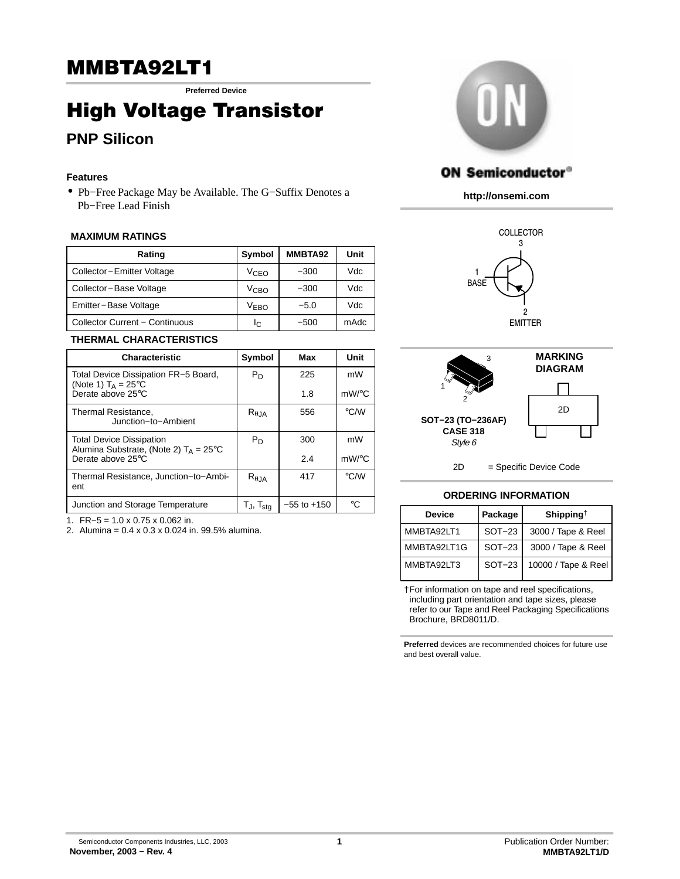## **MMBTA92LT1**

Preferred Device

# ing a creage transistor<br>BND Silicon

## **PNP Silicon**

## **Features**

• Pb−Free Package May be Available. The G−Suffix Denotes a Pb−Free Lead Finish

## **MAXIMUM RATINGS**

| Rating                         | Symbol           | MMBTA92 | Unit |
|--------------------------------|------------------|---------|------|
| Collector-Emitter Voltage      | V <sub>CFO</sub> | $-300$  | Vdc  |
| Collector-Base Voltage         | V <sub>CBO</sub> | $-300$  | Vdc  |
| Emitter-Base Voltage           | V <sub>FRO</sub> | $-5.0$  | Vdc  |
| Collector Current - Continuous | Ιc               | $-500$  | mAdc |

### **THERMAL CHARACTERISTICS**

| <b>Characteristic</b>                                                              | Symbol            | Max             | Unit               |
|------------------------------------------------------------------------------------|-------------------|-----------------|--------------------|
| Total Device Dissipation FR-5 Board,<br>(Note 1) $T_A = 25^{\circ}C$               | $P_D$             | 225             | mW                 |
| Derate above 25°C                                                                  |                   | 1.8             | $mW$ /°C           |
| Thermal Resistance,<br>Junction-to-Ambient                                         | $R_{\theta$ JA    | 556             | $\rm ^{\circ}$ C/W |
| <b>Total Device Dissipation</b><br>Alumina Substrate, (Note 2) $T_A = 25^{\circ}C$ | $P_D$             | 300             | mW                 |
| Derate above 25°C                                                                  |                   | 2.4             | $mW$ /°C           |
| Thermal Resistance, Junction-to-Ambi-<br>ent                                       | $R_{\theta,JA}$   | 417             | °C/W               |
| Junction and Storage Temperature                                                   | $T_J$ , $T_{stg}$ | $-55$ to $+150$ | ∘∩                 |

1. FR−5 = 1.0 x 0.75 x 0.062 in.

2. Alumina = 0.4 x 0.3 x 0.024 in. 99.5% alumina.



## **ON Semiconductor®**

**http://onsemi.com**





2D = Specific Device Code

### **ORDERING INFORMATION**

| <b>Device</b> | Package  | Shipping <sup>†</sup> |  |
|---------------|----------|-----------------------|--|
| MMBTA92LT1    | $SOT-23$ | 3000 / Tape & Reel    |  |
| MMBTA92LT1G   | $SOT-23$ | 3000 / Tape & Reel    |  |
| MMBTA92LT3    | $SOT-23$ | 10000 / Tape & Reel   |  |

†For information on tape and reel specifications, including part orientation and tape sizes, please refer to our Tape and Reel Packaging Specifications Brochure, BRD8011/D.

**Preferred** devices are recommended choices for future use and best overall value.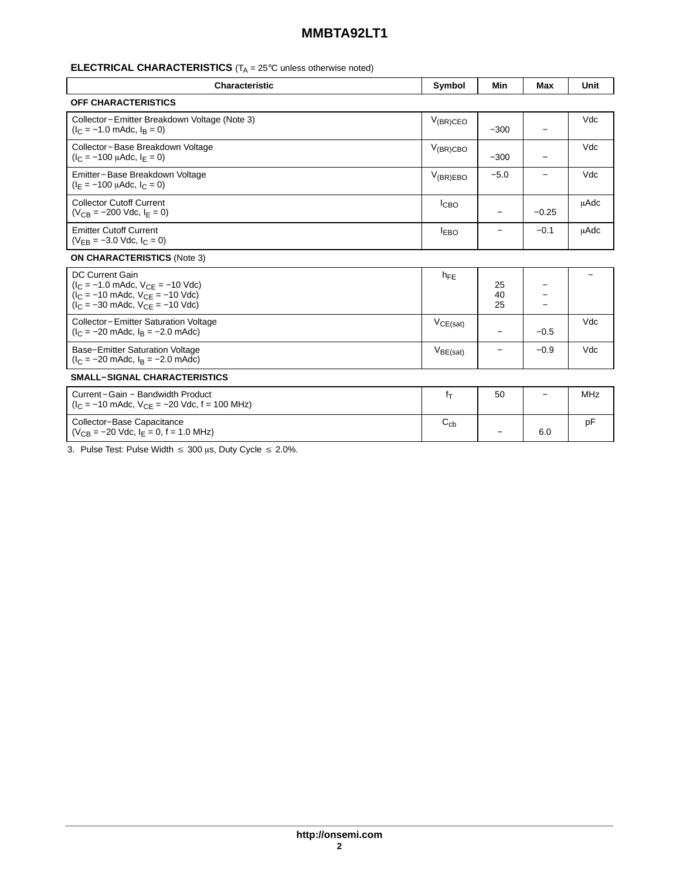## **MMBTA92LT1**

## **ELECTRICAL CHARACTERISTICS** (T<sub>A</sub> = 25°C unless otherwise noted)

| <b>Characteristic</b>                                                                                                                                                                                | Symbol        | Min            | Max     | Unit        |
|------------------------------------------------------------------------------------------------------------------------------------------------------------------------------------------------------|---------------|----------------|---------|-------------|
| <b>OFF CHARACTERISTICS</b>                                                                                                                                                                           |               |                |         |             |
| Collector-Emitter Breakdown Voltage (Note 3)<br>$(I_C = -1.0$ mAdc, $I_B = 0$ )                                                                                                                      | $V_{(BR)CEO}$ | $-300$         |         | Vdc         |
| Collector-Base Breakdown Voltage<br>$(I_C = -100 \mu A dC, I_F = 0)$                                                                                                                                 | $V_{(BR)CBO}$ | $-300$         | —       | Vdc         |
| Emitter-Base Breakdown Voltage<br>$(I_F = -100 \mu A d c, I_C = 0)$                                                                                                                                  | $V_{(BR)EBO}$ | $-5.0$         | —       | Vdc         |
| <b>Collector Cutoff Current</b><br>$(V_{CR} = -200$ Vdc, $I_F = 0$ )                                                                                                                                 | $I_{CBO}$     |                | $-0.25$ | <b>µAdc</b> |
| <b>Emitter Cutoff Current</b><br>$(V_{FR} = -3.0$ Vdc, $I_C = 0$ )                                                                                                                                   | <b>IEBO</b>   |                | $-0.1$  | <b>µAdc</b> |
| <b>ON CHARACTERISTICS (Note 3)</b>                                                                                                                                                                   |               |                |         |             |
| DC Current Gain<br>$(I_C = -1.0 \text{ m}$ Adc, $V_{CF} = -10 \text{ V}$ dc)<br>$(I_C = -10 \text{ m}$ Adc, $V_{CF} = -10 \text{ V}$ dc)<br>$(I_C = -30 \text{ m}$ Adc, $V_{CF} = -10 \text{ V}$ dc) | $h_{FE}$      | 25<br>40<br>25 |         |             |
| Collector-Emitter Saturation Voltage<br>$(I_C = -20 \text{ m}$ Adc, $I_B = -2.0 \text{ m}$ Adc)                                                                                                      | $V_{CE(sat)}$ |                | $-0.5$  | Vdc         |
| <b>Base-Emitter Saturation Voltage</b><br>$(I_C = -20 \text{ m}$ Adc, $I_B = -2.0 \text{ m}$ Adc)                                                                                                    | $V_{BE(sat)}$ | —              | $-0.9$  | Vdc         |
| <b>SMALL-SIGNAL CHARACTERISTICS</b>                                                                                                                                                                  |               |                |         |             |
| Current-Gain - Bandwidth Product<br>$(I_C = -10 \text{ m}$ Adc, $V_{CF} = -20 \text{ Vdc}$ , f = 100 MHz)                                                                                            | $f_T$         | 50             |         | <b>MHz</b>  |
| Collector-Base Capacitance<br>$(V_{CB} = -20$ Vdc, $I_F = 0$ , f = 1.0 MHz)                                                                                                                          | $C_{cb}$      |                | 6.0     | pF          |

3. Pulse Test: Pulse Width  $\leq 300 \,\mu s$ , Duty Cycle  $\leq 2.0\%$ .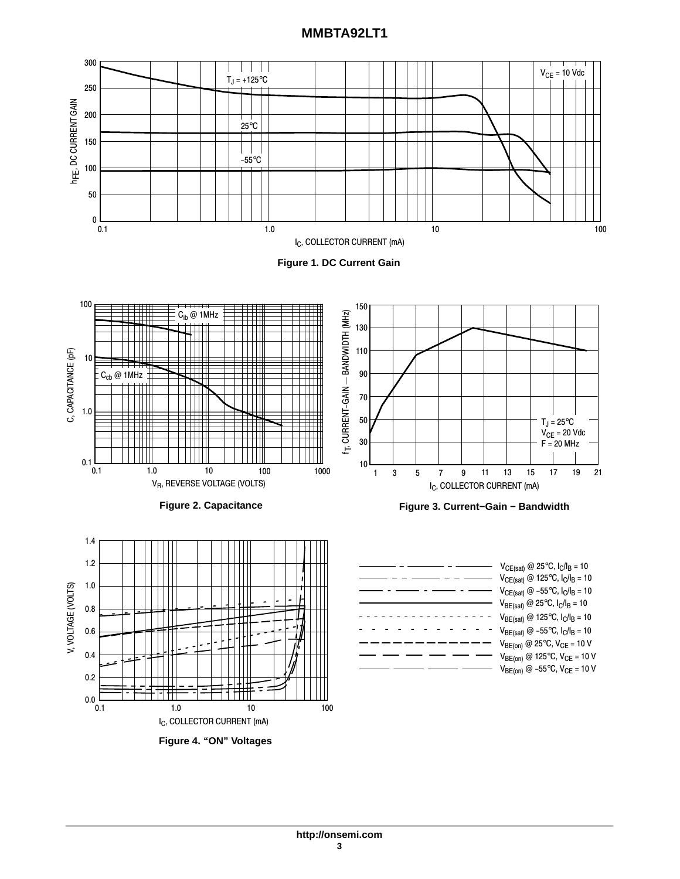## **MMBTA92LT1**



**Figure 4. "ON" Voltages**